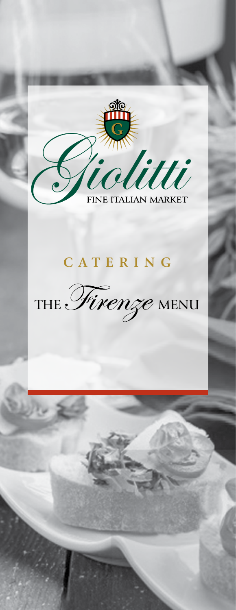

# **C A T E R I N G**

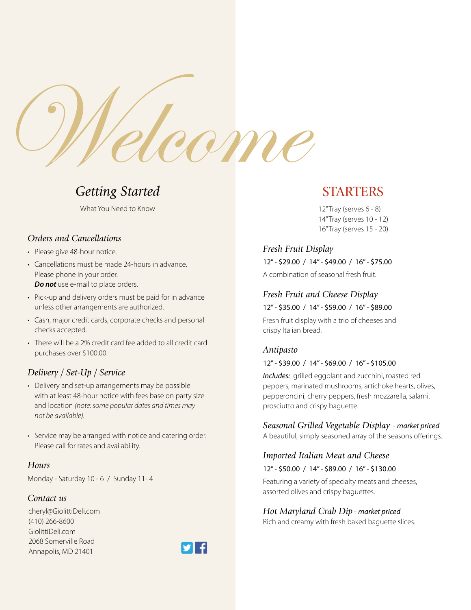

# *Getting Started*

What You Need to Know

### *Orders and Cancellations*

- Please give 48-hour notice.
- Cancellations must be made 24-hours in advance. Please phone in your order. *Do not* use e-mail to place orders.
- Pick-up and delivery orders must be paid for in advance unless other arrangements are authorized.
- Cash, major credit cards, corporate checks and personal checks accepted.
- There will be a 2% credit card fee added to all credit card purchases over \$100.00.

# *Delivery / Set-Up / Service*

- Delivery and set-up arrangements may be possible with at least 48-hour notice with fees base on party size and location *(note: some popular dates and times may not be available).*
- Service may be arranged with notice and catering order. Please call for rates and availability.

#### *Hours*

Monday - Saturday 10 - 6 / Sunday 11- 4

### *Contact us*

cheryl@GiolittiDeli.com (410) 266-8600 GiolittiDeli.com 2068 Somerville Road Annapolis, MD 21401



# STARTERS

12" Tray (serves 6 - 8) 14" Tray (serves 10 - 12) 16" Tray (serves 15 - 20)

# *Fresh Fruit Display*

12" - \$29.00 / 14" - \$49.00 / 16" - \$75.00

A combination of seasonal fresh fruit.

### *Fresh Fruit and Cheese Display* 12" - \$35.00 / 14" - \$59.00 / 16" - \$89.00

Fresh fruit display with a trio of cheeses and crispy Italian bread.

### *Antipasto*

#### 12" - \$39.00 / 14" - \$69.00 / 16" - \$105.00

*Includes:* grilled eggplant and zucchini, roasted red peppers, marinated mushrooms, artichoke hearts, olives, pepperoncini, cherry peppers, fresh mozzarella, salami, prosciutto and crispy baguette.

# *Seasonal Grilled Vegetable Display* - *market priced*

A beautiful, simply seasoned array of the seasons offerings.

### *Imported Italian Meat and Cheese*

#### 12" - \$50.00 / 14" - \$89.00 / 16" - \$130.00

Featuring a variety of specialty meats and cheeses, assorted olives and crispy baguettes.

### *Hot Maryland Crab Dip* - *market priced*

Rich and creamy with fresh baked baguette slices.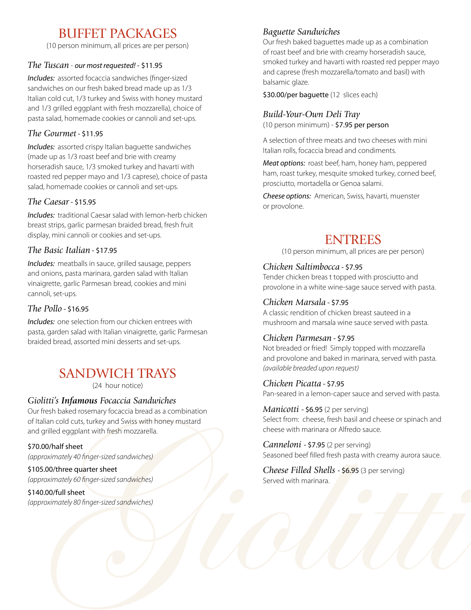# BUFFET PACKAGES

(10 person minimum, all prices are per person)

### *The Tuscan* - *our most requested!* - \$11.95

*Includes:* assorted focaccia sandwiches (finger-sized sandwiches on our fresh baked bread made up as 1/3 Italian cold cut, 1/3 turkey and Swiss with honey mustard and 1/3 grilled eggplant with fresh mozzarella), choice of pasta salad, homemade cookies or cannoli and set-ups.

# *The Gourmet* - \$11.95

*Includes:* assorted crispy Italian baguette sandwiches (made up as 1/3 roast beef and brie with creamy horseradish sauce, 1/3 smoked turkey and havarti with roasted red pepper mayo and 1/3 caprese), choice of pasta salad, homemade cookies or cannoli and set-ups.

# *The Caesar* - \$15.95

*Includes:* traditional Caesar salad with lemon-herb chicken breast strips, garlic parmesan braided bread, fresh fruit display, mini cannoli or cookies and set-ups.

# *The Basic Italian* - \$17.95

*Includes:* meatballs in sauce, grilled sausage, peppers and onions, pasta marinara, garden salad with Italian vinaigrette, garlic Parmesan bread, cookies and mini cannoli, set-ups.

# *The Pollo* - \$16.95

*Includes:* one selection from our chicken entrees with pasta, garden salad with Italian vinaigrette, garlic Parmesan braided bread, assorted mini desserts and set-ups.

# SANDWICH TRAYS

(24 hour notice)

# *Giolitti's Infamous Focaccia Sandwiches*

Our fresh baked rosemary focaccia bread as a combination of Italian cold cuts, turkey and Swiss with honey mustard and grilled eggplant with fresh mozzarella.

# \$70.00/half sheet

*(approximately 40 finger-sized sandwiches)*

# \$105.00/three quarter sheet

*(approximately 60 finger-sized sandwiches)*

# \$140.00/full sheet

*(approximately 80 finger-sized sandwiches)*

# *Baguette Sandwiches*

Our fresh baked baguettes made up as a combination of roast beef and brie with creamy horseradish sauce, smoked turkey and havarti with roasted red pepper mayo and caprese (fresh mozzarella/tomato and basil) with balsamic glaze.

\$30.00/per baguette (12 slices each)

# *Build-Your-Own Deli Tray*

(10 person minimum) - \$7.95 per person

A selection of three meats and two cheeses with mini Italian rolls, focaccia bread and condiments.

*Meat options:* roast beef, ham, honey ham, peppered ham, roast turkey, mesquite smoked turkey, corned beef, prosciutto, mortadella or Genoa salami.

*Cheese options:* American, Swiss, havarti, muenster or provolone.

# ENTREES

(10 person minimum, all prices are per person)

### *Chicken Saltimbocca* - \$7.95

Tender chicken breas t topped with prosciutto and provolone in a white wine-sage sauce served with pasta.

# *Chicken Marsala* - \$7.95

A classic rendition of chicken breast sauteed in a mushroom and marsala wine sauce served with pasta.

# *Chicken Parmesan* - \$7.95

Not breaded or fried! Simply topped with mozzarella and provolone and baked in marinara, served with pasta. *(available breaded upon request)*

### *Chicken Picatta* - \$7.95

Pan-seared in a lemon-caper sauce and served with pasta.

*Manicotti* - \$6.95 (2 per serving) Select from: cheese, fresh basil and cheese or spinach and cheese with marinara or Alfredo sauce.

*Canneloni* - \$7.95 (2 per serving) Seasoned beef filled fresh pasta with creamy aurora sauce.

*Cheese Filled Shells* - \$6.95 (3 per serving) Served with marinara.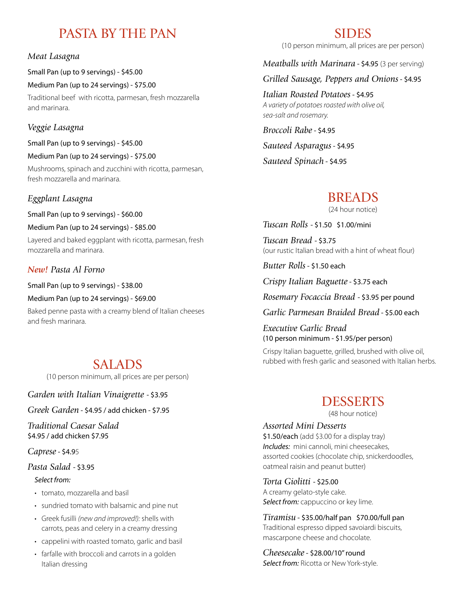# PASTA BY THE PAN

# *Meat Lasagna*

Small Pan (up to 9 servings) - \$45.00

Medium Pan (up to 24 servings) - \$75.00 Traditional beef with ricotta, parmesan, fresh mozzarella

# *Veggie Lasagna*

and marinara.

Small Pan (up to 9 servings) - \$45.00

Medium Pan (up to 24 servings) - \$75.00

Mushrooms, spinach and zucchini with ricotta, parmesan, fresh mozzarella and marinara.

# *Eggplant Lasagna*

Small Pan (up to 9 servings) - \$60.00

Medium Pan (up to 24 servings) - \$85.00

Layered and baked eggplant with ricotta, parmesan, fresh mozzarella and marinara.

# *New! Pasta Al Forno*

Small Pan (up to 9 servings) - \$38.00

Medium Pan (up to 24 servings) - \$69.00

Baked penne pasta with a creamy blend of Italian cheeses and fresh marinara.

# SALADS

(10 person minimum, all prices are per person)

*Garden with Italian Vinaigrette* - \$3.95

*Greek Garden* - \$4.95 / add chicken - \$7.95

*Traditional Caesar Salad* \$4.95 / add chicken \$7.95

*Caprese* - \$4.95

# *Pasta Salad* - \$3.95

### *Select from:*

- *•* tomato, mozzarella and basil
- sundried tomato with balsamic and pine nut
- Greek fusilli *(new and improved!):* shells with carrots, peas and celery in a creamy dressing
- cappelini with roasted tomato, garlic and basil
- farfalle with broccoli and carrots in a golden Italian dressing

# SIDES

(10 person minimum, all prices are per person)

*Meatballs with Marinara* - \$4.95 (3 per serving)

*Grilled Sausage, Peppers and Onions* - \$4.95

*Italian Roasted Potatoes* - \$4.95 *A variety of potatoes roasted with olive oil, sea-salt and rosemary.*

*Broccoli Rabe* - \$4.95

*Sauteed Asparagus* - \$4.95

*Sauteed Spinach* - \$4.95

# BREADS

(24 hour notice)

*Tuscan Rolls* - \$1.50 \$1.00/mini

*Tuscan Bread* - \$3.75 (our rustic Italian bread with a hint of wheat flour)

*Butter Rolls* - \$1.50 each

*Crispy Italian Baguette* - \$3.75 each

*Rosemary Focaccia Bread* - \$3.95 per pound

*Garlic Parmesan Braided Bread* - \$5.00 each

*Executive Garlic Bread*  (10 person minimum - \$1.95/per person)

Crispy Italian baguette, grilled, brushed with olive oil, rubbed with fresh garlic and seasoned with Italian herbs.

# DESSERTS

(48 hour notice)

*Assorted Mini Desserts*  \$1.50/each (add \$3.00 for a display tray) *Includes:* mini cannoli, mini cheesecakes, assorted cookies (chocolate chip, snickerdoodles, oatmeal raisin and peanut butter)

*Torta Giolitti* - \$25.00 A creamy gelato-style cake. *Select from:* cappuccino or key lime.

*Tiramisu* - \$35.00/half pan \$70.00/full pan Traditional espresso dipped savoiardi biscuits, mascarpone cheese and chocolate.

*Cheesecake* - \$28.00/10" round *Select from:* Ricotta or New York-style.